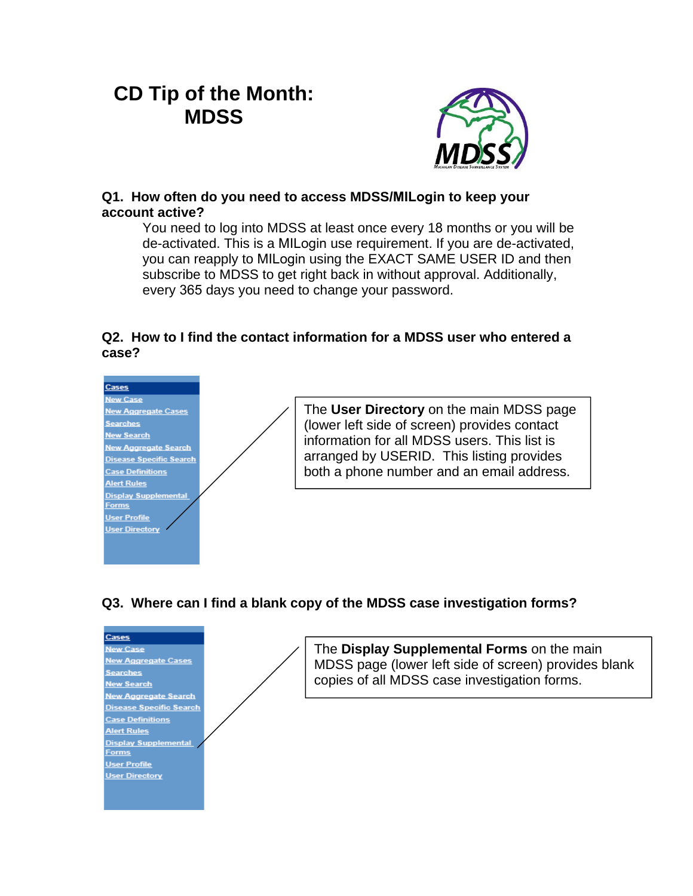# **CD Tip of the Month: MDSS**



# **Q1. How often do you need to access MDSS/MILogin to keep your account active?**

You need to log into MDSS at least once every 18 months or you will be de-activated. This is a MILogin use requirement. If you are de-activated, you can reapply to MILogin using the EXACT SAME USER ID and then subscribe to MDSS to get right back in without approval. Additionally, every 365 days you need to change your password.

# **Q2. How to I find the contact information for a MDSS user who entered a case?**

#### **Cases New Case** The **User Directory** on the main MDSS page **New Aggregate Cases** Searches (lower left side of screen) provides contact New Search<br>New Aggregate Search information for all MDSS users. This list is arranged by USERID. This listing provides **Disease Specific Search Case Definitions** both a phone number and an email address. **Alert Rules Display Supplemental Forms User Profile User Directory**

# **Q3. Where can I find a blank copy of the MDSS case investigation forms?**

| Cases                          |                  |
|--------------------------------|------------------|
| <b>New Case</b>                | The Display Su   |
| <b>New Aggregate Cases</b>     | MDSS page (lo    |
| <b>Searches</b>                |                  |
| <b>New Search</b>              | copies of all MD |
| <b>New Aggregate Search</b>    |                  |
| <b>Disease Specific Search</b> |                  |
| <b>Case Definitions</b>        |                  |
| <b>Alert Rules</b>             |                  |
| <b>Display Supplemental</b>    |                  |
| Forms                          |                  |
| <b>User Profile</b>            |                  |
| <b>User Directory</b>          |                  |
|                                |                  |
|                                |                  |

**upplemental Forms** on the main wer left side of screen) provides blank DSS case investigation forms.